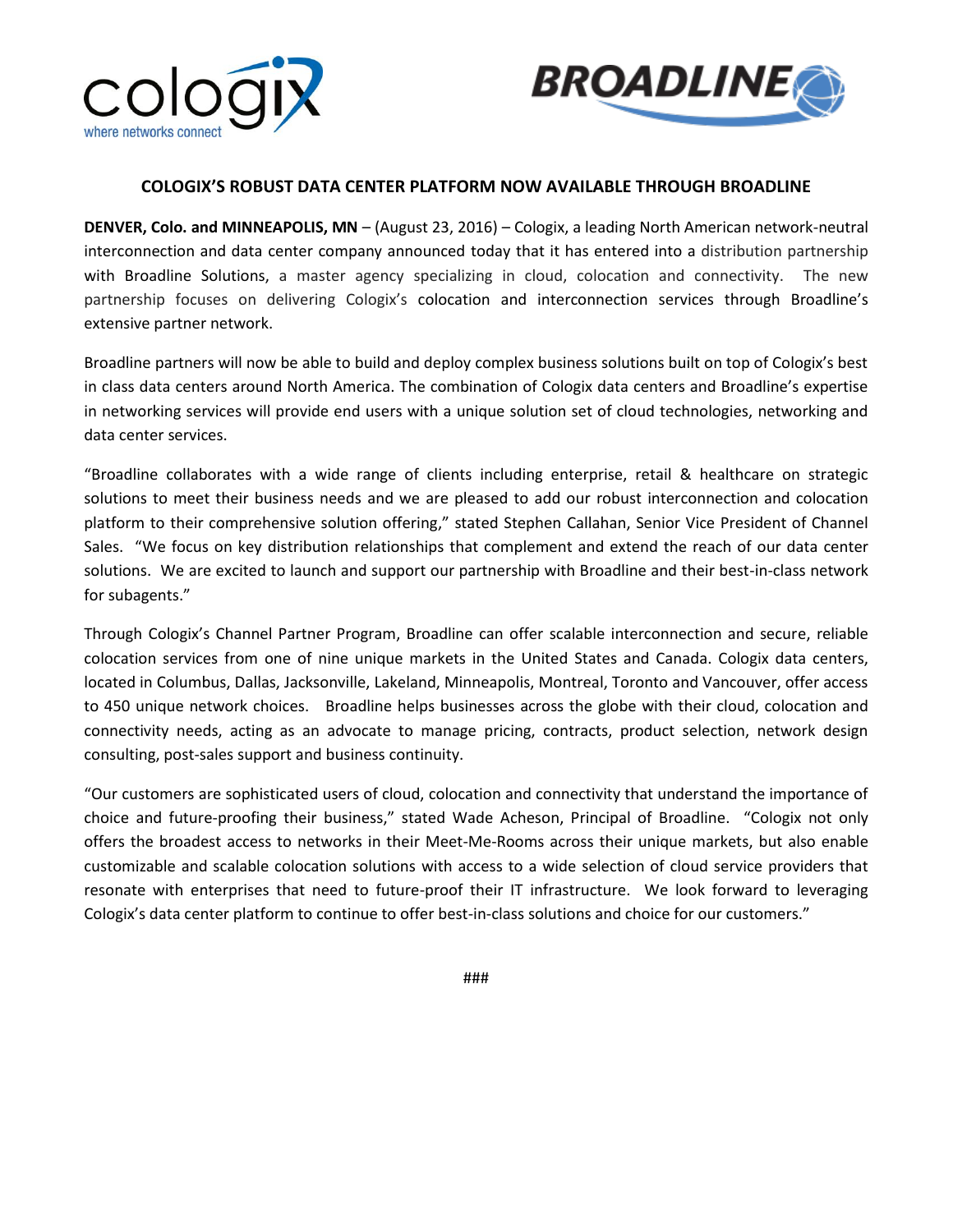



## **COLOGIX'S ROBUST DATA CENTER PLATFORM NOW AVAILABLE THROUGH BROADLINE**

**DENVER, Colo. and MINNEAPOLIS, MN** – (August 23, 2016) – Cologix, a leading North American network-neutral interconnection and data center company announced today that it has entered into a distribution partnership with Broadline Solutions, a master agency specializing in cloud, colocation and connectivity. The new partnership focuses on delivering Cologix's colocation and interconnection services through Broadline's extensive partner network.

Broadline partners will now be able to build and deploy complex business solutions built on top of Cologix's best in class data centers around North America. The combination of Cologix data centers and Broadline's expertise in networking services will provide end users with a unique solution set of cloud technologies, networking and data center services.

"Broadline collaborates with a wide range of clients including enterprise, retail & healthcare on strategic solutions to meet their business needs and we are pleased to add our robust interconnection and colocation platform to their comprehensive solution offering," stated Stephen Callahan, Senior Vice President of Channel Sales. "We focus on key distribution relationships that complement and extend the reach of our data center solutions. We are excited to launch and support our partnership with Broadline and their best-in-class network for subagents."

Through Cologix's Channel Partner Program, Broadline can offer scalable interconnection and secure, reliable colocation services from one of nine unique markets in the United States and Canada. Cologix data centers, located in Columbus, Dallas, Jacksonville, Lakeland, Minneapolis, Montreal, Toronto and Vancouver, offer access to 450 unique network choices. Broadline helps businesses across the globe with their cloud, colocation and connectivity needs, acting as an advocate to manage pricing, contracts, product selection, network design consulting, post-sales support and business continuity.

"Our customers are sophisticated users of cloud, colocation and connectivity that understand the importance of choice and future-proofing their business," stated Wade Acheson, Principal of Broadline. "Cologix not only offers the broadest access to networks in their Meet-Me-Rooms across their unique markets, but also enable customizable and scalable colocation solutions with access to a wide selection of cloud service providers that resonate with enterprises that need to future-proof their IT infrastructure. We look forward to leveraging Cologix's data center platform to continue to offer best-in-class solutions and choice for our customers."

###